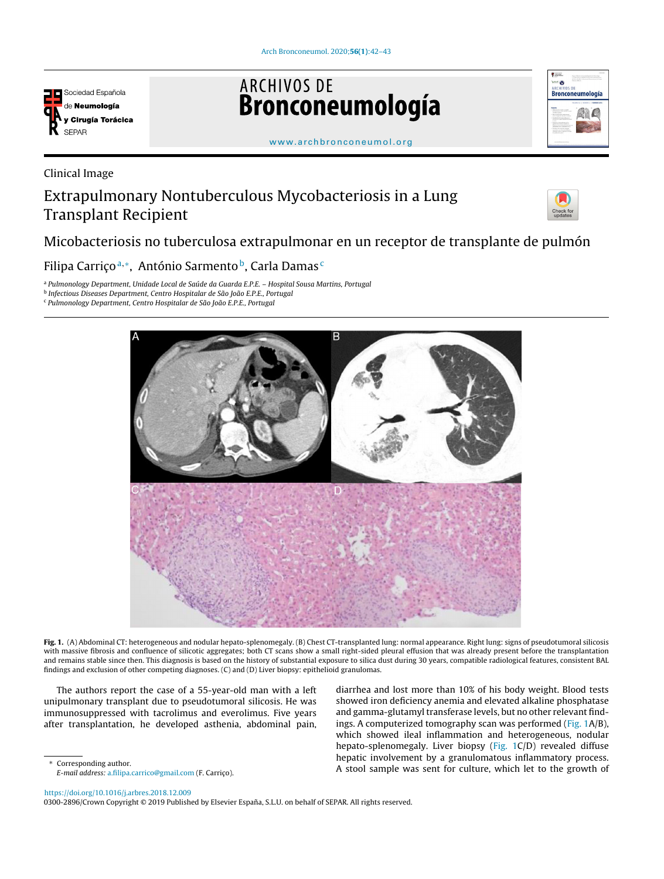

# **ARCHIVOS DE** Bronconeumología



[www.archbronconeumol.org](http://www.archbronconeumol.org)

Clinical Image

## Extrapulmonary Nontuberculous Mycobacteriosis in a Lung Transplant Recipient



### Micobacteriosis no tuberculosa extrapulmonar en un receptor de transplante de pulmón

#### Filipa Carriçoª,\*, António Sarmento<sup>b</sup>, Carla Damas<sup>c</sup>

<sup>a</sup> Pulmonology Department, Unidade Local de Saúde da Guarda E.P.E. – Hospital Sousa Martins, Portugal

<sup>b</sup> Infectious Diseases Department, Centro Hospitalar de São João E.P.E., Portugal





Fig. 1. (A) Abdominal CT: heterogeneous and nodular hepato-splenomegaly. (B) Chest CT-transplanted lung: normal appearance. Right lung: signs of pseudotumoral silicosis with massive fibrosis and confluence of silicotic aggregates; both CT scans show a small right-sided pleural effusion that was already present before the transplantation and remains stable since then. This diagnosis is based on the history of substantial exposure to silica dust during 30 years, compatible radiological features, consistent BAL findings and exclusion of other competing diagnoses. (C) and (D) Liver biopsy: epithelioid granulomas.

The authors report the case of a 55-year-old man with a left unipulmonary transplant due to pseudotumoral silicosis. He was immunosuppressed with tacrolimus and everolimus. Five years after transplantation, he developed asthenia, abdominal pain,

diarrhea and lost more than 10% of his body weight. Blood tests showed iron deficiency anemia and elevated alkaline phosphatase and gamma-glutamyl transferase levels, but no other relevant findings. A computerized tomography scan was performed (Fig. 1A/B), which showed ileal inflammation and heterogeneous, nodular hepato-splenomegaly. Liver biopsy (Fig. 1C/D) revealed diffuse hepatic involvement by a granulomatous inflammatory process. A stool sample was sent for culture, which let to the growth of

Corresponding author.

E-mail address: [a.filipa.carrico@gmail.com](mailto:a.filipa.carrico@gmail.com) (F. Carrico).

<https://doi.org/10.1016/j.arbres.2018.12.009>

0300-2896/Crown Copyright © 2019 Published by Elsevier España, S.L.U. on behalf of SEPAR. All rights reserved.